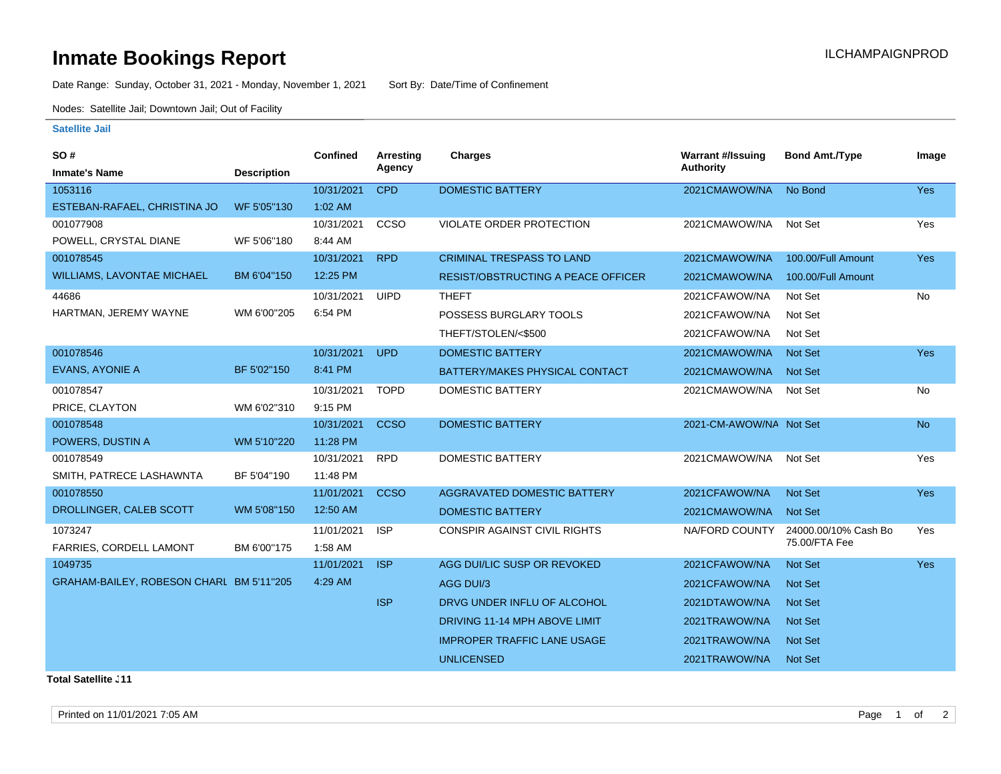## **Inmate Bookings Report Installation ILCHAMPAIGNPROD**

Date Range: Sunday, October 31, 2021 - Monday, November 1, 2021 Sort By: Date/Time of Confinement

Nodes: Satellite Jail; Downtown Jail; Out of Facility

## **Satellite Jail**

| SO#                                      |                    | <b>Confined</b> | <b>Arresting</b> | Charges                                   | <b>Warrant #/Issuing</b> | <b>Bond Amt./Type</b> | Image      |
|------------------------------------------|--------------------|-----------------|------------------|-------------------------------------------|--------------------------|-----------------------|------------|
| <b>Inmate's Name</b>                     | <b>Description</b> |                 | Agency           |                                           | <b>Authority</b>         |                       |            |
| 1053116                                  |                    | 10/31/2021      | <b>CPD</b>       | <b>DOMESTIC BATTERY</b>                   | 2021CMAWOW/NA            | No Bond               | <b>Yes</b> |
| ESTEBAN-RAFAEL, CHRISTINA JO             | WF 5'05"130        | $1:02$ AM       |                  |                                           |                          |                       |            |
| 001077908                                |                    | 10/31/2021      | CCSO             | VIOLATE ORDER PROTECTION                  | 2021CMAWOW/NA            | Not Set               | Yes        |
| POWELL, CRYSTAL DIANE                    | WF 5'06"180        | 8:44 AM         |                  |                                           |                          |                       |            |
| 001078545                                |                    | 10/31/2021      | <b>RPD</b>       | <b>CRIMINAL TRESPASS TO LAND</b>          | 2021CMAWOW/NA            | 100.00/Full Amount    | <b>Yes</b> |
| <b>WILLIAMS, LAVONTAE MICHAEL</b>        | BM 6'04"150        | 12:25 PM        |                  | <b>RESIST/OBSTRUCTING A PEACE OFFICER</b> | 2021CMAWOW/NA            | 100.00/Full Amount    |            |
| 44686                                    |                    | 10/31/2021      | <b>UIPD</b>      | <b>THEFT</b>                              | 2021CFAWOW/NA            | Not Set               | No         |
| HARTMAN, JEREMY WAYNE                    | WM 6'00"205        | 6:54 PM         |                  | POSSESS BURGLARY TOOLS                    | 2021CFAWOW/NA            | Not Set               |            |
|                                          |                    |                 |                  | THEFT/STOLEN/<\$500                       | 2021CFAWOW/NA            | Not Set               |            |
| 001078546                                |                    | 10/31/2021      | <b>UPD</b>       | DOMESTIC BATTERY                          | 2021CMAWOW/NA            | <b>Not Set</b>        | Yes        |
| <b>EVANS, AYONIE A</b>                   | BF 5'02"150        | 8:41 PM         |                  | BATTERY/MAKES PHYSICAL CONTACT            | 2021CMAWOW/NA            | <b>Not Set</b>        |            |
| 001078547                                |                    | 10/31/2021      | <b>TOPD</b>      | <b>DOMESTIC BATTERY</b>                   | 2021CMAWOW/NA            | Not Set               | <b>No</b>  |
| PRICE, CLAYTON                           | WM 6'02"310        | 9:15 PM         |                  |                                           |                          |                       |            |
| 001078548                                |                    | 10/31/2021      | <b>CCSO</b>      | <b>DOMESTIC BATTERY</b>                   | 2021-CM-AWOW/NA Not Set  |                       | <b>No</b>  |
| POWERS, DUSTIN A                         | WM 5'10"220        | 11:28 PM        |                  |                                           |                          |                       |            |
| 001078549                                |                    | 10/31/2021      | <b>RPD</b>       | <b>DOMESTIC BATTERY</b>                   | 2021CMAWOW/NA            | Not Set               | Yes        |
| SMITH, PATRECE LASHAWNTA                 | BF 5'04"190        | 11:48 PM        |                  |                                           |                          |                       |            |
| 001078550                                |                    | 11/01/2021      | <b>CCSO</b>      | <b>AGGRAVATED DOMESTIC BATTERY</b>        | 2021CFAWOW/NA            | <b>Not Set</b>        | Yes        |
| DROLLINGER, CALEB SCOTT                  | WM 5'08"150        | 12:50 AM        |                  | <b>DOMESTIC BATTERY</b>                   | 2021CMAWOW/NA            | <b>Not Set</b>        |            |
| 1073247                                  |                    | 11/01/2021      | <b>ISP</b>       | <b>CONSPIR AGAINST CIVIL RIGHTS</b>       | NA/FORD COUNTY           | 24000.00/10% Cash Bo  | Yes        |
| FARRIES, CORDELL LAMONT                  | BM 6'00"175        | 1:58 AM         |                  |                                           |                          | 75.00/FTA Fee         |            |
| 1049735                                  |                    | 11/01/2021      | <b>ISP</b>       | AGG DUI/LIC SUSP OR REVOKED               | 2021CFAWOW/NA            | <b>Not Set</b>        | <b>Yes</b> |
| GRAHAM-BAILEY, ROBESON CHARL BM 5'11"205 |                    | 4:29 AM         |                  | AGG DUI/3                                 | 2021CFAWOW/NA            | <b>Not Set</b>        |            |
|                                          |                    |                 | <b>ISP</b>       | DRVG UNDER INFLU OF ALCOHOL               | 2021DTAWOW/NA            | <b>Not Set</b>        |            |
|                                          |                    |                 |                  | DRIVING 11-14 MPH ABOVE LIMIT             | 2021TRAWOW/NA            | <b>Not Set</b>        |            |
|                                          |                    |                 |                  | <b>IMPROPER TRAFFIC LANE USAGE</b>        | 2021TRAWOW/NA            | <b>Not Set</b>        |            |
|                                          |                    |                 |                  | <b>UNLICENSED</b>                         | 2021TRAWOW/NA            | <b>Not Set</b>        |            |
|                                          |                    |                 |                  |                                           |                          |                       |            |

**Total Satellite . 11**